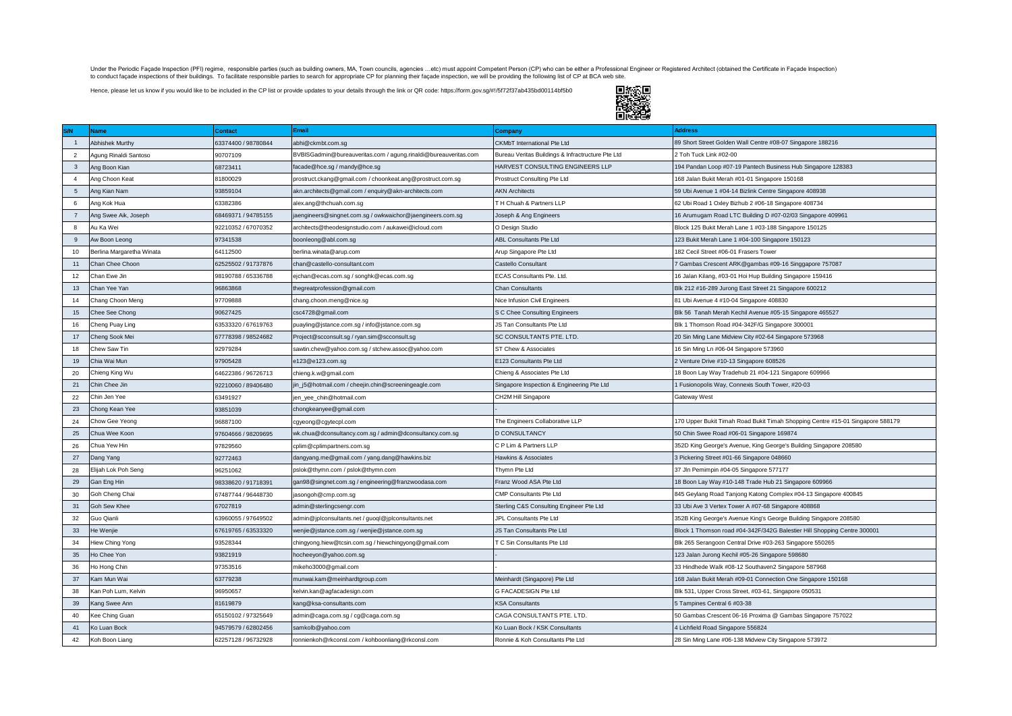Under the Periodic Façade Inspection (PFI) regime, responsible parties (such as building owners, MA, Town councils, agencies ...etc) must appoint Competent Person (CP) who can be either a Professional Engineer or Registere

Hence, please let us know if you would like to be included in the CP list or provide updates to your details through the link or QR code: https://form.gov.sg/#!/5f72f37ab435bd00114bf5b0



|                 | <b>Name</b>               | <b>Contact</b>      | <b>Email</b>                                                    | <b>Company</b>                                    | <b>Address</b>                                                                 |
|-----------------|---------------------------|---------------------|-----------------------------------------------------------------|---------------------------------------------------|--------------------------------------------------------------------------------|
| $\overline{1}$  | Abhishek Murthy           | 63374400 / 98780844 | abhi@ckmbt.com.sq                                               | CKMbT International Pte Ltd                       | 89 Short Street Golden Wall Centre #08-07 Singapore 188216                     |
| $\overline{2}$  | Agung Rinaldi Santoso     | 90707109            | BVBISGadmin@bureauveritas.com / agung.rinaldi@bureauveritas.com | Bureau Veritas Buildings & Infractructure Pte Ltd | 2 Toh Tuck Link #02-00                                                         |
| $\mathbf{3}$    | Ang Boon Kian             | 68723411            | facade@hce.sg / mandy@hce.sg                                    | HARVEST CONSULTING ENGINEERS LLP                  | 194 Pandan Loop #07-19 Pantech Business Hub Singapore 128383                   |
| $\overline{4}$  | Ang Choon Keat            | 81800029            | prostruct.ckang@gmail.com / choonkeat.ang@prostruct.com.sg      | Prostruct Consulting Pte Ltd                      | 168 Jalan Bukit Merah #01-01 Singapore 150168                                  |
| $5\overline{5}$ | Ang Kian Nam              | 93859104            | akn.architects@gmail.com / enquiry@akn-architects.com           | <b>AKN Architects</b>                             | 59 Ubi Avenue 1 #04-14 Bizlink Centre Singapore 408938                         |
| 6               | Ang Kok Hua               | 63382386            | alex.ang@thchuah.com.sg                                         | T H Chuah & Partners LLP                          | 62 Ubi Road 1 Oxley Bizhub 2 #06-18 Singapore 408734                           |
| $\overline{7}$  | Ang Swee Aik, Joseph      | 68469371 / 94785155 | jaengineers@singnet.com.sg / owkwaichor@jaengineers.com.sg      | Joseph & Ang Engineers                            | 16 Arumugam Road LTC Building D #07-02/03 Singapore 409961                     |
| 8               | Au Ka Wei                 | 92210352 / 67070352 | architects@theodesignstudio.com / aukawei@icloud.com            | O Design Studio                                   | Block 125 Bukit Merah Lane 1 #03-188 Singapore 150125                          |
| $\mathsf g$     | Aw Boon Leong             | 97341538            | boonleong@abl.com.sg                                            | ABL Consultants Pte Ltd                           | 123 Bukit Merah Lane 1 #04-100 Singapore 150123                                |
| 10              | Berlina Margaretha Winata | 64112500            | berlina.winata@arup.com                                         | Arup Singapore Pte Ltd                            | 182 Cecil Street #06-01 Frasers Tower                                          |
| 11              | Chan Chee Choon           | 62525502 / 91737876 | chan@castello-consultant.com                                    | Castello Consultant                               | 7 Gambas Crescent ARK@gambas #09-16 Singgapore 757087                          |
| 12              | Chan Ewe Jin              | 98190788 / 65336788 | ejchan@ecas.com.sg / songhk@ecas.com.sg                         | ECAS Consultants Pte. Ltd.                        | 16 Jalan Kilang, #03-01 Hoi Hup Building Singapore 159416                      |
| 13              | Chan Yee Yan              | 96863868            | thegreatprofession@gmail.com                                    | Chan Consultants                                  | Blk 212 #16-289 Jurong East Street 21 Singapore 600212                         |
| 14              | Chang Choon Meng          | 97709888            | chang.choon.meng@nice.sg                                        | Nice Infusion Civil Engineers                     | 81 Ubi Avenue 4 #10-04 Singapore 408830                                        |
| 15              | Chee See Chong            | 90627425            | csc4728@gmail.com                                               | S C Chee Consulting Engineers                     | Blk 56 Tanah Merah Kechil Avenue #05-15 Singapore 465527                       |
| 16              | Cheng Puay Ling           | 63533320 / 67619763 | puayling@jstance.com.sg / info@jstance.com.sg                   | JS Tan Consultants Pte Ltd                        | Blk 1 Thomson Road #04-342F/G Singapore 300001                                 |
| 17              | Cheng Sook Mei            | 67778398 / 98524682 | Project@scconsult.sq / ryan.sim@scconsult.sq                    | SC CONSULTANTS PTE. LTD.                          | 20 Sin Ming Lane Midview City #02-64 Singapore 573968                          |
| 18              | Chew Saw Tin              | 92979284            | sawtin.chew@yahoo.com.sg / stchew.assoc@yahoo.com               | ST Chew & Associates                              | 16 Sin Ming Ln #06-04 Singapore 573960                                         |
| 19              | Chia Wai Mun              | 97905428            | e123@e123.com.sg                                                | E123 Consultants Pte Ltd                          | 2 Venture Drive #10-13 Singapore 608526                                        |
| 20              | Chieng King Wu            | 64622386 / 96726713 | chieng.k.w@gmail.com                                            | Chieng & Associates Pte Ltd                       | 18 Boon Lay Way Tradehub 21 #04-121 Singapore 609966                           |
| 21              | Chin Chee Jin             | 92210060 / 89406480 | jin_j5@hotmail.com / cheejin.chin@screeningeagle.com            | Singapore Inspection & Engineering Pte Ltd        | 1 Fusionopolis Way, Connexis South Tower, #20-03                               |
| 22              | Chin Jen Yee              | 63491927            | jen_yee_chin@hotmail.com                                        | CH2M Hill Singapore                               | Gateway West                                                                   |
| 23              | Chong Kean Yee            | 93851039            | chongkeanyee@gmail.com                                          |                                                   |                                                                                |
| 24              | Chow Gee Yeong            | 96887100            | cgyeong@cgytecpl.com                                            | The Engineers Collaborative LLP                   | 170 Upper Bukit Timah Road Bukit Timah Shopping Centre #15-01 Singapore 588179 |
| 25              | Chua Wee Koon             | 97604666 / 98209695 | wk.chua@dconsultancy.com.sg / admin@dconsultancy.com.sg         | <b>D CONSULTANCY</b>                              | 50 Chin Swee Road #06-01 Singapore 169874                                      |
| 26              | Chua Yew Hin              | 97829560            | cplim@cplimpartners.com.sg                                      | C P Lim & Partners LLP                            | 352D King George's Avenue, King George's Building Singapore 208580             |
| 27              | Dang Yang                 | 92772463            | dangyang.me@gmail.com / yang.dang@hawkins.biz                   | Hawkins & Associates                              | 3 Pickering Street #01-66 Singapore 048660                                     |
| 28              | Elijah Lok Poh Seng       | 96251062            | pslok@thymn.com / pslok@thymn.com                               | Thymn Pte Ltd                                     | 37 Jln Pemimpin #04-05 Singapore 577177                                        |
| 29              | Gan Eng Hin               | 98338620 / 91718391 | gan98@singnet.com.sg / engineering@franzwoodasa.com             | Franz Wood ASA Pte Ltd                            | 18 Boon Lay Way #10-148 Trade Hub 21 Singapore 609966                          |
| 30              | Goh Cheng Chai            | 67487744 / 96448730 | jasongoh@cmp.com.sg                                             | CMP Consultants Pte Ltd                           | 845 Geylang Road Tanjong Katong Complex #04-13 Singapore 400845                |
| 31              | Goh Sew Khee              | 67027819            | admin@sterlingcsengr.com                                        | Sterling C&S Consulting Engineer Pte Ltd          | 33 Ubi Ave 3 Vertex Tower A #07-68 Singapore 408868                            |
| 32              | Guo Qianli                | 33960055 / 97649502 | admin@jplconsultants.net / guoql@jplconsultants.net             | JPL Consultants Pte Ltd                           | 352B King George's Avenue King's George Building Singapore 208580              |
| 33              | He Wenjie                 | 67619765 / 63533320 | wenjie@jstance.com.sg / wenjie@jstance.com.sg                   | JS Tan Consultants Pte Ltd                        | Block 1 Thomson road #04-342F/342G Balestier Hill Shopping Centre 300001       |
| 34              | liew Ching Yong           | 93528344            | chingyong.hiew@tcsin.com.sg / hiewchingyong@gmail.com           | T C Sin Consultants Pte Ltd                       | Blk 265 Serangoon Central Drive #03-263 Singapore 550265                       |
| 35              | Ho Chee Yon               | 93821919            | hocheeyon@yahoo.com.sg                                          |                                                   | 123 Jalan Jurong Kechil #05-26 Singapore 598680                                |
| 36              | Ho Hong Chin              | 97353516            | mikeho3000@gmail.com                                            |                                                   | 33 Hindhede Walk #08-12 Southaven2 Singapore 587968                            |
| 37              | Kam Mun Wai               | 63779238            | munwai.kam@meinhardtgroup.com                                   | Meinhardt (Singapore) Pte Ltd                     | 168 Jalan Bukit Merah #09-01 Connection One Singapore 150168                   |
| 38              | Kan Poh Lum, Kelvin       | 96950657            | kelvin.kan@agfacadesign.com                                     | <b>G FACADESIGN Pte Ltd</b>                       | Blk 531, Upper Cross Street, #03-61, Singapore 050531                          |
| 39              | Kang Swee Ann             | 81619879            | kang@ksa-consultants.com                                        | <b>KSA Consultants</b>                            | 5 Tampines Central 6 #03-38                                                    |
| 40              | Kee Ching Guan            | 65150102 / 97325649 | admin@caga.com.sg / cg@caga.com.sg                              | CAGA CONSULTANTS PTE, LTD.                        | 50 Gambas Crescent 06-16 Proxima @ Gambas Singapore 757022                     |
| 41              | Ko Luan Bock              | 94579579 / 62802456 | samkolb@yahoo.com                                               | Ko Luan Bock / KSK Consultants                    | 4 Lichfield Road Singapore 556824                                              |
| 42              | Koh Boon Liang            | 62257128 / 96732928 | ronnienkoh@rkconsl.com / kohboonliang@rkconsl.com               | Ronnie & Koh Consultants Pte Ltd                  | 28 Sin Ming Lane #06-138 Midview City Singapore 573972                         |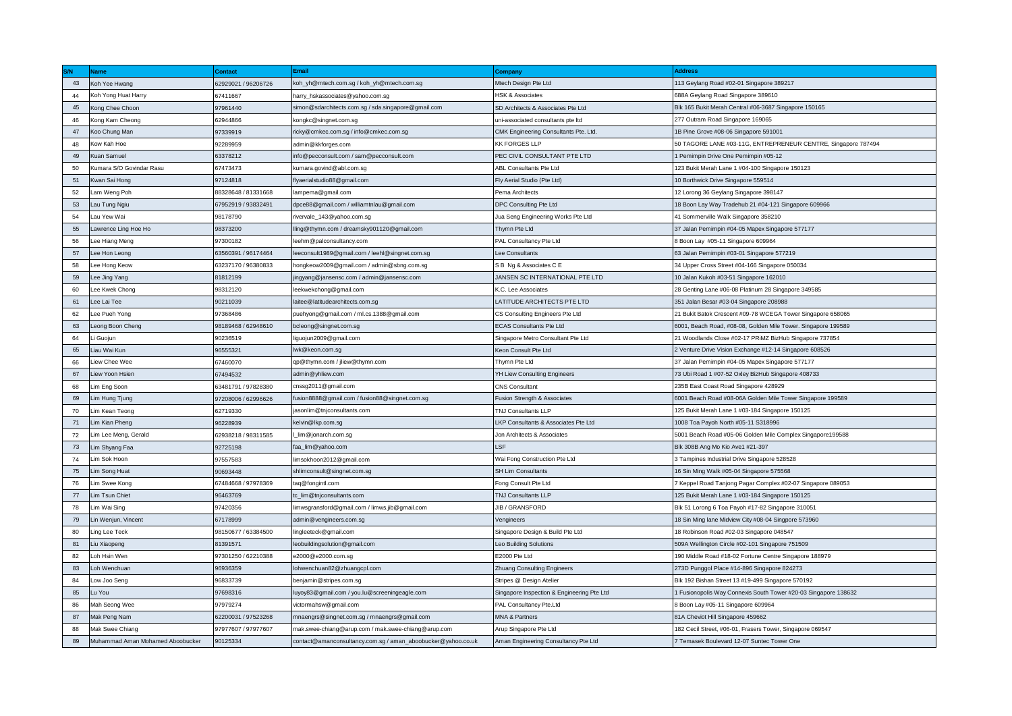| S/N | <b>Name</b>                      | <b>Contact</b>      | <b>Email</b>                                                 | Company                                    | <b>Address</b>                                                |
|-----|----------------------------------|---------------------|--------------------------------------------------------------|--------------------------------------------|---------------------------------------------------------------|
| 43  | Koh Yee Hwang                    | 62929021 / 96206726 | koh_yh@mtech.com.sg / koh_yh@mtech.com.sg                    | Mtech Design Pte Ltd                       | 113 Geylang Road #02-01 Singapore 389217                      |
| 44  | Koh Yong Huat Harry              | 67411667            | harry_hskassociates@yahoo.com.sg                             | <b>HSK &amp; Associates</b>                | 688A Geylang Road Singapore 389610                            |
| 45  | Kong Chee Choon                  | 97961440            | simon@sdarchitects.com.sg / sda.singapore@gmail.com          | SD Architects & Associates Pte Ltd         | Blk 165 Bukit Merah Central #06-3687 Singapore 150165         |
| 46  | Kong Kam Cheong                  | 62944866            | kongkc@singnet.com.sq                                        | uni-associated consultants pte Itd         | 277 Outram Road Singapore 169065                              |
| 47  | Koo Chung Man                    | 97339919            | ricky@cmkec.com.sq / info@cmkec.com.sq                       | CMK Engineering Consultants Pte. Ltd.      | 1B Pine Grove #08-06 Singapore 591001                         |
| 48  | Kow Kah Hoe                      | 92289959            | admin@kkforges.com                                           | <b>KK FORGES LLP</b>                       | 50 TAGORE LANE #03-11G, ENTREPRENEUR CENTRE, Singapore 787494 |
| 49  | Kuan Samuel                      | 63378212            | info@pecconsult.com / sam@pecconsult.com                     | PEC CIVIL CONSULTANT PTE LTD               | Pemimpin Drive One Pemimpin #05-12                            |
| 50  | Kumara S/O Govindar Rasu         | 67473473            | kumara.govind@abl.com.sq                                     | ABL Consultants Pte Ltd                    | 123 Bukit Merah Lane 1 #04-100 Singapore 150123               |
| 51  | Kwan Sai Hong                    | 97124818            | flyaerialstudio88@gmail.com                                  | Fly Aerial Studio (Pte Ltd)                | 10 Borthwick Drive Singapore 559514                           |
| 52  | Lam Weng Poh                     | 88328648 / 81331668 | lampema@gmail.com                                            | Pema Architects                            | 12 Lorong 36 Geylang Singapore 398147                         |
| 53  | Lau Tung Ngiu                    | 67952919 / 93832491 | dpce88@gmail.com / williamtnlau@gmail.com                    | DPC Consulting Pte Ltd                     | 18 Boon Lay Way Tradehub 21 #04-121 Singapore 609966          |
| 54  | Lau Yew Wai                      | 98178790            | rivervale_143@yahoo.com.sg                                   | Jua Seng Engineering Works Pte Ltd         | 41 Sommerville Walk Singapore 358210                          |
| 55  | Lawrence Ling Hoe Ho             | 98373200            | lling@thymn.com / dreamsky901120@gmail.com                   | Thymn Pte Ltd                              | 37 Jalan Pemimpin #04-05 Mapex Singapore 577177               |
| 56  | Lee Hiang Meng                   | 97300182            | leehm@palconsultancy.com                                     | PAL Consultancy Pte Ltd                    | 8 Boon Lay #05-11 Singapore 609964                            |
| 57  | Lee Hon Leong                    | 63560391 / 96174464 | leeconsult1989@gmail.com / leehl@singnet.com.sg              | Lee Consultants                            | 63 Jalan Pemimpin #03-01 Singapore 577219                     |
| 58  | Lee Hong Keow                    | 63237170 / 96380833 | hongkeow2009@gmail.com / admin@sbng.com.sg                   | S B Ng & Associates C E                    | 34 Upper Cross Street #04-166 Singapore 050034                |
| 59  | Lee Jing Yang                    | 81812199            | jingyang@jansensc.com / admin@jansensc.com                   | JANSEN SC INTERNATIONAL PTE LTD            | 10 Jalan Kukoh #03-51 Singapore 162010                        |
| 60  | Lee Kwek Chong                   | 98312120            | leekwekchong@gmail.com                                       | K.C. Lee Associates                        | 28 Genting Lane #06-08 Platinum 28 Singapore 349585           |
| 61  | Lee Lai Tee                      | 90211039            | laitee@latitudearchitects.com.sq                             | LATITUDE ARCHITECTS PTE LTD                | 351 Jalan Besar #03-04 Singapore 208988                       |
| 62  | Lee Pueh Yong                    | 97368486            | puehyong@gmail.com / ml.cs.1388@gmail.com                    | CS Consulting Engineers Pte Ltd            | 21 Bukit Batok Crescent #09-78 WCEGA Tower Singapore 658065   |
| 63  | Leong Boon Cheng                 | 98189468 / 62948610 | bcleong@singnet.com.sg                                       | <b>ECAS Consultants Pte Ltd</b>            | 6001, Beach Road, #08-08, Golden Mile Tower. Singapore 199589 |
| 64  | i Guojun                         | 90236519            | liguojun2009@gmail.com                                       | Singapore Metro Consultant Pte Ltd         | 21 Woodlands Close #02-17 PRiMZ BizHub Singapore 737854       |
| 65  | Liau Wai Kun                     | 96555321            | lwk@keon.com.sq                                              | Keon Consult Pte Ltd                       | 2 Venture Drive Vision Exchange #12-14 Singapore 608526       |
| 66  | Liew Chee Wee                    | 67460070            | qp@thymn.com / jliew@thymn.com                               | Thymn Pte Ltd                              | 37 Jalan Pemimpin #04-05 Mapex Singapore 577177               |
| 67  | Liew Yoon Hsien                  | 67494532            | admin@yhliew.com                                             | YH Liew Consulting Engineers               | 73 Ubi Road 1 #07-52 Oxley BizHub Singapore 408733            |
| 68  | Lim Eng Soon                     | 63481791 / 97828380 | cnssg2011@gmail.com                                          | <b>CNS Consultant</b>                      | 235B East Coast Road Singapore 428929                         |
| 69  | Lim Hung Tjung                   | 97208006 / 62996626 | fusion8888@gmail.com / fusion88@singnet.com.sg               | Fusion Strength & Associates               | 6001 Beach Road #08-06A Golden Mile Tower Singapore 199589    |
| 70  | Lim Kean Teong                   | 62719330            | jasonlim@tnjconsultants.com                                  | TNJ Consultants LLP                        | 125 Bukit Merah Lane 1 #03-184 Singapore 150125               |
| 71  | Lim Kian Pheng                   | 96228939            | kelvin@lkp.com.sg                                            | LKP Consultants & Associates Pte Ltd       | 1008 Toa Payoh North #05-11 S318996                           |
| 72  | Lim Lee Meng, Gerald             | 62938218 / 98311585 | I_lim@jonarch.com.sg                                         | Jon Architects & Associates                | 5001 Beach Road #05-06 Golden Mile Complex Singapore199588    |
| 73  | Lim Shyang Faa                   | 92725198            | faa lim@yahoo.com                                            | LSF                                        | Blk 308B Ang Mo Kio Ave1 #21-397                              |
| 74  | Lim Sok Hoon                     | 97557583            | limsokhoon2012@gmail.com                                     | Wai Fong Construction Pte Ltd              | 3 Tampines Industrial Drive Singapore 528528                  |
| 75  | Lim Song Huat                    | 90693448            | shlimconsult@singnet.com.sg                                  | <b>SH Lim Consultants</b>                  | 16 Sin Ming Walk #05-04 Singapore 575568                      |
| 76  | Lim Swee Kong                    | 67484668 / 97978369 | taq@fongintl.com                                             | Fong Consult Pte Ltd                       | 7 Keppel Road Tanjong Pagar Complex #02-07 Singapore 089053   |
| 77  | Lim Tsun Chiet                   | 96463769            | tc_lim@tnjconsultants.com                                    | TNJ Consultants LLP                        | 125 Bukit Merah Lane 1 #03-184 Singapore 150125               |
| 78  | Lim Wai Sing                     | 97420356            | limwsgransford@gmail.com / limws.jib@gmail.com               | JIB / GRANSFORD                            | Blk 51 Lorong 6 Toa Payoh #17-82 Singapore 310051             |
| 79  | Lin Wenjun, Vincent              | 67178999            | admin@vengineers.com.sg                                      | Vengineers                                 | 18 Sin Ming lane Midview City #08-04 Singpore 573960          |
| 80  | Ling Lee Teck                    | 98150677 / 63384500 | lingleeteck@gmail.com                                        | Singapore Design & Build Pte Ltd           | 18 Robinson Road #02-03 Singapore 048547                      |
| 81  | Liu Xiaopeng                     | 81391571            | leobuildingsolution@gmail.com                                | Leo Building Solutions                     | 509A Wellington Circle #02-101 Singapore 751509               |
| 82  | Loh Hsin Wen                     | 97301250 / 62210388 | e2000@e2000.com.sq                                           | E2000 Pte Ltd                              | 190 Middle Road #18-02 Fortune Centre Singapore 188979        |
| 83  | Loh Wenchuan                     | 96936359            | lohwenchuan82@zhuangcpl.com                                  | <b>Zhuang Consulting Engineers</b>         | 273D Punggol Place #14-896 Singapore 824273                   |
| 84  | Low Joo Seng                     | 96833739            | benjamin@stripes.com.sg                                      | Stripes @ Design Atelier                   | Blk 192 Bishan Street 13 #19-499 Singapore 570192             |
| 85  | Lu You                           | 97698316            | luyoy83@gmail.com / you.lu@screeningeagle.com                | Singapore Inspection & Engineering Pte Ltd | Fusionopolis Way Connexis South Tower #20-03 Singapore 138632 |
| 86  | Mah Seong Wee                    | 97979274            | victormahsw@gmail.com                                        | PAL Consultancy Pte.Ltd                    | 8 Boon Lay #05-11 Singapore 609964                            |
| 87  | Mak Peng Nam                     | 62200031 / 97523268 | mnaengrs@singnet.com.sg / mnaengrs@gmail.com                 | MNA & Partners                             | 81A Cheviot Hill Singapore 459662                             |
| 88  | Mak Swee Chiang                  | 97977607 / 97977607 | mak.swee-chiang@arup.com / mak.swee-chiang@arup.com          | Arup Singapore Pte Ltd                     | 182 Cecil Street, #06-01, Frasers Tower, Singapore 069547     |
| 89  | Muhammad Aman Mohamed Aboobucker | 90125334            | contact@amanconsultancy.com.sg / aman_aboobucker@yahoo.co.uk | Aman Engineering Consultancy Pte Ltd       | 7 Temasek Boulevard 12-07 Suntec Tower One                    |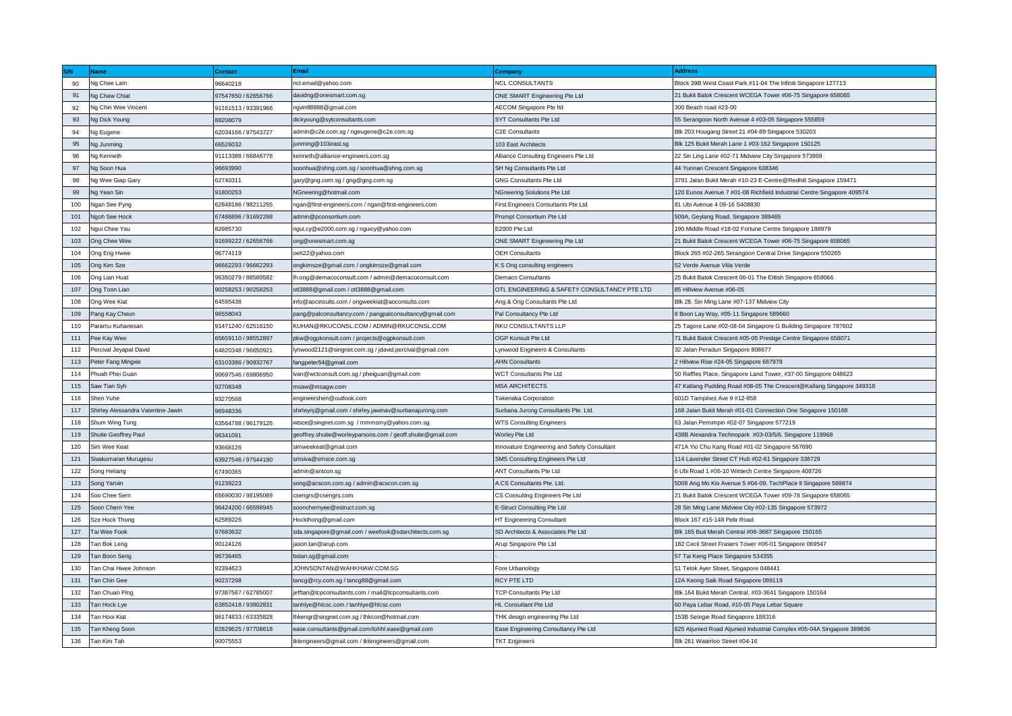|     | <b>Name</b>                        | <b>Contact</b>      | Email                                                      | <b>Company</b>                               | <b>Address</b>                                                         |
|-----|------------------------------------|---------------------|------------------------------------------------------------|----------------------------------------------|------------------------------------------------------------------------|
| 90  | Ng Chee Lam                        | 96640218            | ncl.email@yahoo.com                                        | <b>NCL CONSULTANTS</b>                       | Block 39B West Coast Park #11-04 The Infiniti Singapore 127713         |
| 91  | Ng Chew Chiat                      | 97547650 / 62656766 | davidng@onesmart.com.sg                                    | ONE SMART Engineering Pte Ltd                | 21 Bukit Batok Crescent WCEGA Tower #06-75 Singapore 658065            |
| 92  | Ng Chin Wee Vincent                | 91161513 / 93391966 | ngvin88888@gmail.com                                       | AECOM Singapore Pte Itd                      | 300 Beach road #23-00                                                  |
| 93  | Ng Dick Young                      | 88208079            | dickyoung@sytconsultants.com                               | SYT Consultants Pte Ltd                      | 55 Serangoon North Avenue 4 #03-05 Singapore 555859                    |
| 94  | Ng Eugene                          | 62034166 / 97543727 | admin@c2e.com.sg / ngeugene@c2e.com.sg                     | C2E Consultants                              | Blk 203 Hougang Street 21 #04-89 Singapore 530203                      |
| 95  | Ng Junming                         | 66526032            | junming@103east.sg                                         | 103 East Architects                          | Blk 125 Bukit Merah Lane 1 #03-162 Singapore 150125                    |
| 96  | Ng Kenneth                         | 91113388 / 66846778 | kenneth@alliance-engineers.com.sg                          | Alliance Consulting Engineers Pte Ltd        | 22 Sin Ling Lane #02-71 Midview City Singapore 573969                  |
| 97  | Ng Soon Hua                        | 96693990            | soonhua@shng.com.sg / soonhua@shng.com.sg                  | SH Ng Consultants Pte Ltd                    | 44 Yunnan Crescent Singapore 638346                                    |
| 98  | Ng Wee Giap Gary                   | 62740311            | gary@gng.com.sg / gng@gng.com.sg                           | <b>GNG Consultants Pte Ltd</b>               | 3791 Jalan Bukit Merah #10-23 E-Centre@Redhill Singapore 159471        |
| 99  | Ng Yean Sin                        | 91800253            | NGneering@hotmail.com                                      | NGneering Solutions Pte Ltd                  | 120 Eunos Avenue 7 #01-08 Richfield Industrial Centre Singapore 409574 |
| 100 | Ngan See Pyng                      | 62848186 / 98211255 | ngan@first-engineers.com / ngan@first-engineers.com        | First Engineers Consultants Pte Ltd          | 81 Ubi Avenue 4 09-16 S408830                                          |
| 101 | Ngoh See Hock                      | 67486896 / 91692288 | admin@pconsortium.com                                      | Prompt Consortium Pte Ltd                    | 509A, Geylang Road, Singapore 389465                                   |
| 102 | Ngui Chee Yau                      | 82985730            | ngui.cy@e2000.com.sg / nguicy@yahoo.com                    | E2000 Pte Ltd                                | 190 Middle Road #18-02 Fortune Centre Singapore 188979                 |
| 103 | Ong Chee Wee                       | 91699222 / 62656766 | ong@onesmart.com.sg                                        | ONE SMART Engineering Pte Ltd                | 21 Bukit Batok Crescent WCEGA Tower #06-75 Singapore 658065            |
| 104 | Ong Eng Hwee                       | 96774119            | oeh22@yahoo.com                                            | <b>OEH Consultants</b>                       | Block 265 #02-265 Serangoon Central Drive Singapore 550265             |
| 105 | Ong Kim Sze                        | 96662293 / 96662293 | ongkimsze@gmail.com / ongkimsze@gmail.com                  | K S Ong consulting engineers                 | 52 Verde Avenue Villa Verde                                            |
| 106 | Ong Lian Huat                      | 96350279 / 88580582 | Ih.ong@demacoconsult.com / admin@demacoconsult.com         | <b>Demaco Consultants</b>                    | 25 Bukit Batok Crescent 06-01 The Elitish Singapore 658066             |
| 107 | Ong Toon Lian                      | 90258253 / 90258253 | otl3888@gmail.com / otl3888@gmail.com                      | OTL ENGINEERING & SAFETY CONSULTANCY PTE LTD | 85 Hillview Avenue #06-05                                              |
| 108 | Ong Wee Kiat                       | 64595438            | info@aocinsults.com / ongweekiat@aoconsults.com            | Ang & Ong Consultants Pte Ltd                | Blk 28, Sin Ming Lane #07-137 Midview City                             |
| 109 | Pang Kay Cheun                     | 96558043            | pang@palconsultancy.com / pangpalconsultancy@gmail.com     | Pal Consultancy Pte Ltd                      | 8 Boon Lay Way, #05-11 Singapore 589660                                |
| 110 | Paramu Kuhanesan                   | 91471240 / 62516150 | KUHAN@RKUCONSL.COM / ADMIN@RKUCONSL.COM                    | <b>RKU CONSULTANTS LLP</b>                   | 25 Tagore Lane #02-08-04 Singapore G Building Singapore 787602         |
| 111 | Pee Kay Wee                        | 65659110 / 98552897 | pkw@ogpkonsult.com / projects@ogpkonsult.com               | OGP Konsult Pte Ltd                          | 71 Bukit Batok Crescent #05-05 Prestige Centre Singapore 658071        |
| 112 | Percival Jeyapal David             | 64820348 / 96650921 | lynwood2121@singnet.com.sg / jdavid.percival@gmail.com     | Lynwood Engineers & Consultants              | 32 Jalan Peradun Singapore 808677                                      |
| 113 | Peter Fang Mingxie                 | 63103386 / 90932767 | fangpeter54@gmail.com                                      | <b>AHN Consultants</b>                       | 2 Hillview Rise #24-05 Singapore 667978                                |
| 114 | Phuah Phei Guan                    | 90697546 / 69806950 | ivan@wctconsult.com.sg / pheiguan@gmail.com                | <b>WCT Consultants Pte Ltd</b>               | 50 Raffles Place, Singapore Land Tower, #37-00 Singapore 048623        |
| 115 | Saw Tian Syh                       | 92708348            | msaw@msagw.com                                             | <b>MSA ARCHITECTS</b>                        | 47 Kallang Pudding Road #08-05 The Crescent@Kallang Singapore 349318   |
| 116 | Shen Yuhe                          | 93270568            | engineershen@outlook.com                                   | Takenaka Corporation                         | 601D Tampines Ave 9 #12-858                                            |
| 117 | Shirley Alessandra Valentine Jawin | 96948336            | shirleynj@gmail.com / shirley.jawinav@surbanajurong.com    | Surbana Jurong Consultants Pte. Ltd.         | 168 Jalan Bukit Merah #01-01 Connection One Singapore 150168           |
| 118 | Shum Wing Tung                     | 63564788 / 96179126 | wtsce@singnet.com.sg /mmmsmy@yahoo.com.sg                  | <b>WTS Consulting Engineers</b>              | 63 Jalan Pemimpin #02-07 Singapore 577219                              |
| 119 | Shutie Geoffrey Paul               | 96341091            | geoffrey.shutie@worleyparsons.com / geoff.shutie@gmail.com | Worley Pte Ltd                               | 438B Alexandra Technopark #03-03/5/6, Singapore 119968                 |
| 120 | Sim Wee Keat                       | 93668126            | simweekeat@gmail.com                                       | Innovature Engineering and Safety Consultant | 471A Yio Chu Kang Road #01-02 Singapore 567690                         |
| 121 | Sivakumaran Murugesu               | 63927546 / 97544190 | smsiva@smsce.com.sg                                        | SMS Consulting Engineers Pte Ltd             | 114 Lavender Street CT Hub #02-61 Singapore 338729                     |
| 122 | Song Heliang                       | 67490365            | admin@antcon.sg                                            | ANT Consultants Pte Ltd                      | 6 Ubi Road 1 #06-10 Wintech Centre Singapore 408726                    |
| 123 | Song Yanxin                        | 91239223            | song@acscon.com.sg / admin@acscon.com.sg                   | A.CS Consultants Pte. Ltd.                   | 5008 Ang Mo Kio Avenue 5 #04-09, TechPlace II Singapore 569874         |
| 124 | Soo Chee Sern                      | 65690030 / 98195089 | csengrs@csengrs.com                                        | CS Consulting Engineers Pte Ltd              | 21 Bukit Batok Crescent WCEGA Tower #09-78 Singapore 658065            |
| 125 | Soon Chern Yee                     | 96424200 / 66598945 | soonchernyee@estruct.com.sg                                | E-Struct Consulting Pte Ltd                  | 28 Sin Ming Lane Midview City #02-135 Singapore 573972                 |
| 126 | Sze Hock Thong                     | 62589226            | Hockthong@gmail.com                                        | HT Engineering Consultant                    | Block 167 #15-148 Petir Road                                           |
| 127 | Tai Wee Fook                       | 97683632            | sda.singapore@gmail.com / weefook@sdarchitects.com.sg      | SD Architects & Associates Pte Ltd           | Blk 165 Buit Merah Central #06-3687 Singapore 150165                   |
| 128 | Tan Bok Leng                       | 90124126            | jason.tan@arup.com                                         | Arup Singapore Pte Ltd                       | 182 Cecil Street Frasers Tower #06-01 Singapore 069547                 |
| 129 | Tan Boon Seng                      | 96736465            | bstan.sg@gmail.com                                         |                                              | 57 Tai Keng Place Singapore 534355                                     |
| 130 | Tan Chai Hwee Johnson              | 92394623            | JOHNSONTAN@WAHKHIAW.COM.SG                                 | Fore Urbanology                              | 51 Telok Ayer Street, Singapore 048441                                 |
| 131 | Tan Chin Gee                       | 90237298            | tancg@rcy.com.sg / tancg88@gmail.com                       | RCY PTE LTD                                  | 12A Keong Saik Road Singapore 089119                                   |
| 132 | Tan Chuan Ping                     | 97387567 / 62785007 | jefftan@tcpconsultants.com / mail@tcpconsultants.com       | TCP Consultants Pte Ltd                      | Blk 164 Bukit Merah Central, #03-3641 Singapore 150164                 |
| 133 | Tan Hock Lye                       | 63852418 / 93802831 | tanhlye@hlcsc.com / tanhlye@hlcsc.com                      | HL Consultant Pte Ltd                        | 60 Paya Lebar Road, #10-05 Paya Lebar Square                           |
| 134 | Tan Hooi Kiat                      | 96174833 / 63335828 | thkengr@singnet.com.sg / thkcon@hotmail.com                | THK design engineering Pte Ltd               | 153B Selegie Road Singapore 188316                                     |
| 135 | Tan Kheng Soon                     | 82829625 / 97708618 | ease.consultants@gmail.com/tohhl.ease@gmail.com            | Ease Engineering Consultancy Pte Ltd         | 625 Aljunied Road Aljunied Industrial Complex #05-04A Singapore 389836 |
| 136 | Tan Kim Tah                        | 90075553            | tktengineers@gmail.com / tktengineers@gmail.com            | <b>TKT Engineers</b>                         | Blk 261 Waterloo Street #04-16                                         |